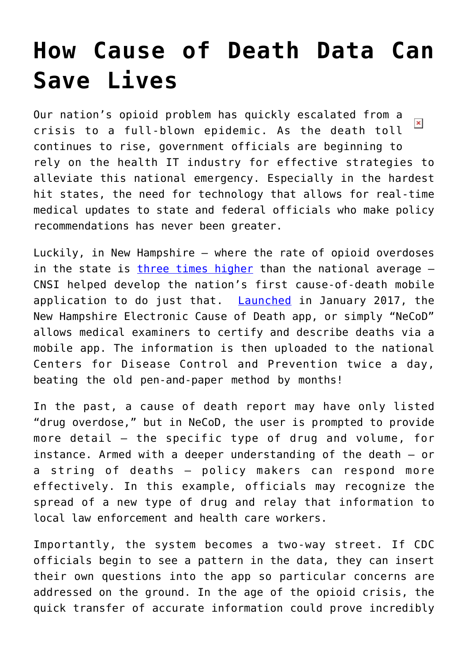## **[How Cause of Death Data Can](https://www.cns-inc.com/insights/thought-leadership/how-cause-of-death-data-can-save-lives/) [Save Lives](https://www.cns-inc.com/insights/thought-leadership/how-cause-of-death-data-can-save-lives/)**

Our nation's opioid problem has quickly escalated from a  $\pmb{\times}$ crisis to a full-blown epidemic. As the death toll continues to rise, government officials are beginning to rely on the health IT industry for effective strategies to alleviate this national emergency. Especially in the hardest hit states, the need for technology that allows for real-time medical updates to state and federal officials who make policy recommendations has never been greater.

Luckily, in New Hampshire – where the rate of opioid overdoses in the state is [three times higher](https://www.drugabuse.gov/drugs-abuse/opioids/opioid-summaries-by-state/new-hampshire-opioid-summary) than the national average -CNSI helped develop the nation's first cause-of-death mobile application to do just that. [Launched](http://www.concordmonitor.com/cause-of-death-reporting-technology-nh-7455860) in January 2017, the New Hampshire Electronic Cause of Death app, or simply "NeCoD" allows medical examiners to certify and describe deaths via a mobile app. The information is then uploaded to the national Centers for Disease Control and Prevention twice a day, beating the old pen-and-paper method by months!

In the past, a cause of death report may have only listed "drug overdose," but in NeCoD, the user is prompted to provide more detail – the specific type of drug and volume, for instance. Armed with a deeper understanding of the death – or a string of deaths – policy makers can respond more effectively. In this example, officials may recognize the spread of a new type of drug and relay that information to local law enforcement and health care workers.

Importantly, the system becomes a two-way street. If CDC officials begin to see a pattern in the data, they can insert their own questions into the app so particular concerns are addressed on the ground. In the age of the opioid crisis, the quick transfer of accurate information could prove incredibly